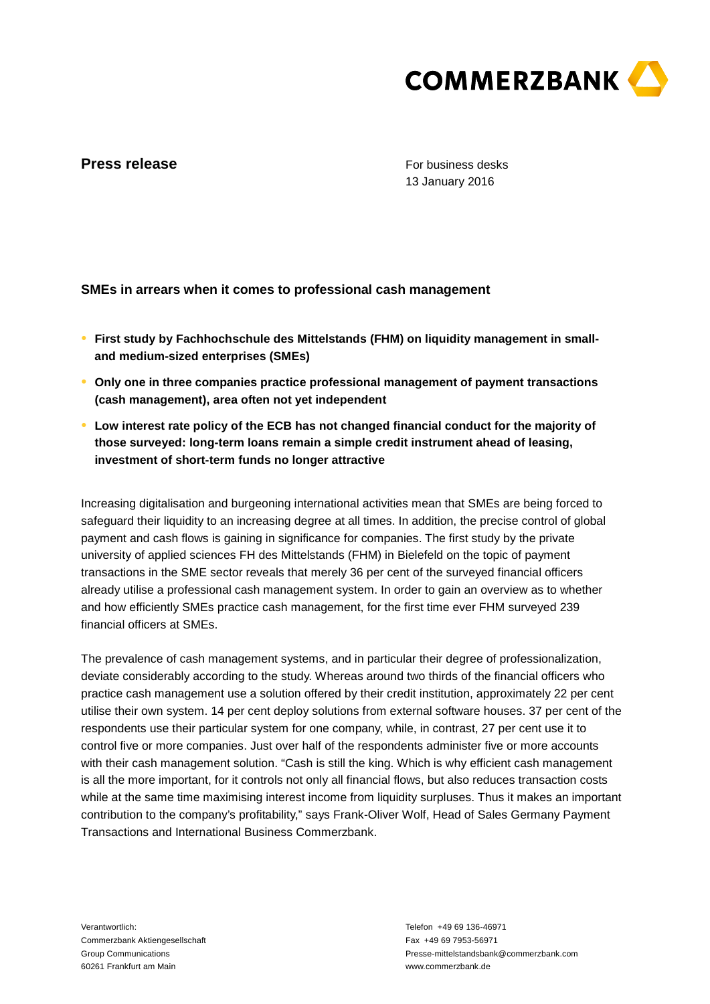

## **Press release**

For business desks 13 January 2016

**SMEs in arrears when it comes to professional cash management**

- **● First study by Fachhochschule des Mittelstands (FHM) on liquidity management in smalland medium-sized enterprises (SMEs)**
- **● Only one in three companies practice professional management of payment transactions (cash management), area often not yet independent**
- **● Low interest rate policy of the ECB has not changed financial conduct for the majority of those surveyed: long-term loans remain a simple credit instrument ahead of leasing, investment of short-term funds no longer attractive**

Increasing digitalisation and burgeoning international activities mean that SMEs are being forced to safeguard their liquidity to an increasing degree at all times. In addition, the precise control of global payment and cash flows is gaining in significance for companies. The first study by the private university of applied sciences FH des Mittelstands (FHM) in Bielefeld on the topic of payment transactions in the SME sector reveals that merely 36 per cent of the surveyed financial officers already utilise a professional cash management system. In order to gain an overview as to whether and how efficiently SMEs practice cash management, for the first time ever FHM surveyed 239 financial officers at SMEs.

The prevalence of cash management systems, and in particular their degree of professionalization, deviate considerably according to the study. Whereas around two thirds of the financial officers who practice cash management use a solution offered by their credit institution, approximately 22 per cent utilise their own system. 14 per cent deploy solutions from external software houses. 37 per cent of the respondents use their particular system for one company, while, in contrast, 27 per cent use it to control five or more companies. Just over half of the respondents administer five or more accounts with their cash management solution. "Cash is still the king. Which is why efficient cash management is all the more important, for it controls not only all financial flows, but also reduces transaction costs while at the same time maximising interest income from liquidity surpluses. Thus it makes an important contribution to the company's profitability," says Frank-Oliver Wolf, Head of Sales Germany Payment Transactions and International Business Commerzbank.

Verantwortlich: Commerzbank Aktiengesellschaft Group Communications 60261 Frankfurt am Main

Telefon +49 69 136-46971 Fax +49 69 7953-56971 Presse-mittelstandsbank@commerzbank.com www.commerzbank.de